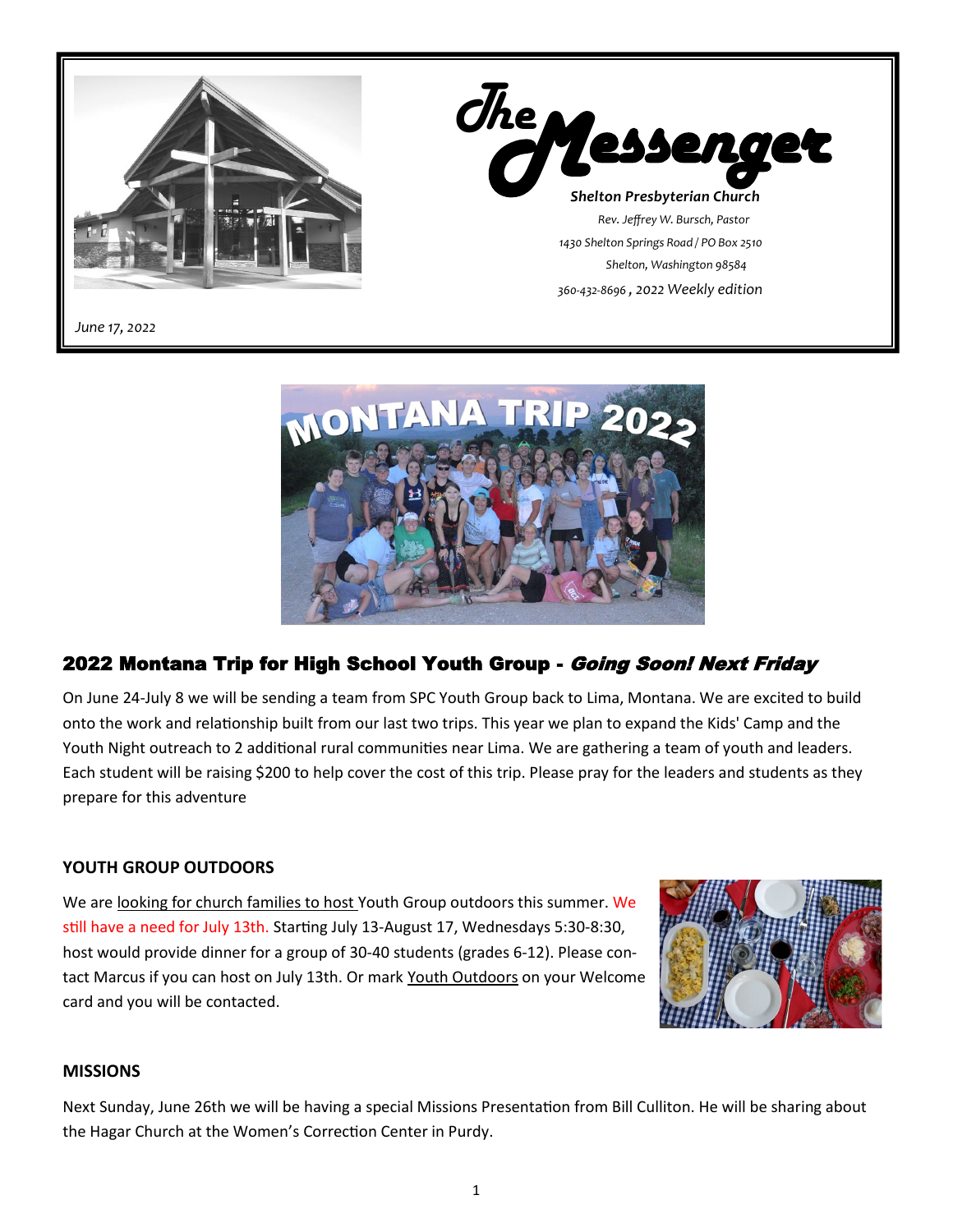



#### 2022 Montana Trip for High School Youth Group - Going Soon! Next Friday

On June 24-July 8 we will be sending a team from SPC Youth Group back to Lima, Montana. We are excited to build onto the work and relationship built from our last two trips. This year we plan to expand the Kids' Camp and the Youth Night outreach to 2 additional rural communities near Lima. We are gathering a team of youth and leaders. Each student will be raising \$200 to help cover the cost of this trip. Please pray for the leaders and students as they prepare for this adventure

#### **YOUTH GROUP OUTDOORS**

We are looking for church families to host Youth Group outdoors this summer. We still have a need for July 13th. Starting July 13-August 17, Wednesdays 5:30-8:30, host would provide dinner for a group of 30-40 students (grades 6-12). Please contact Marcus if you can host on July 13th. Or mark Youth Outdoors on your Welcome card and you will be contacted.



#### **MISSIONS**

Next Sunday, June 26th we will be having a special Missions Presentation from Bill Culliton. He will be sharing about the Hagar Church at the Women's Correction Center in Purdy.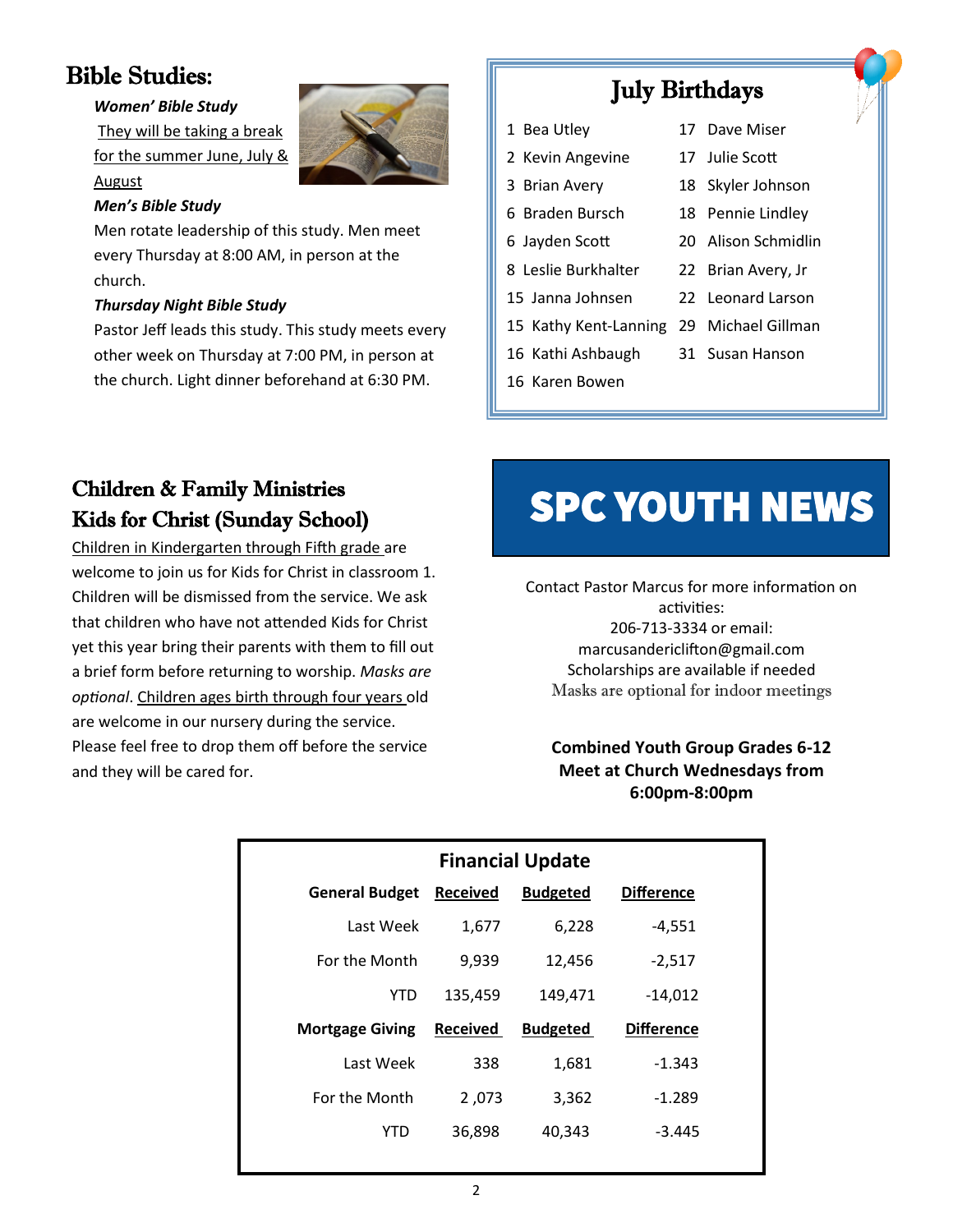# Bible Studies:

August

#### *Women' Bible Study*

They will be taking a break for the summer June, July &



#### *Men's Bible Study*

Men rotate leadership of this study. Men meet every Thursday at 8:00 AM, in person at the church.

#### *Thursday Night Bible Study*

Pastor Jeff leads this study. This study meets every other week on Thursday at 7:00 PM, in person at the church. Light dinner beforehand at 6:30 PM.

# July Birthdays

- 1 Bea Utley 17 Dave Miser
- 2 Kevin Angevine 17 Julie Scott
	-
- 3 Brian Avery 18 Skyler Johnson
- 6 Braden Bursch 18 Pennie Lindley
- 
- 6 Jayden Scott 20 Alison Schmidlin
- 8 Leslie Burkhalter 22 Brian Avery, Jr
	-
- 15 Janna Johnsen 22 Leonard Larson
- 15 Kathy Kent-Lanning 29 Michael Gillman
- 16 Kathi Ashbaugh 31 Susan Hanson
- 16 Karen Bowen

# Children & Family Ministries Kids for Christ (Sunday School)

Children in Kindergarten through Fifth grade are welcome to join us for Kids for Christ in classroom 1. Children will be dismissed from the service. We ask that children who have not attended Kids for Christ yet this year bring their parents with them to fill out a brief form before returning to worship. *Masks are optional*. Children ages birth through four years old are welcome in our nursery during the service. Please feel free to drop them off before the service and they will be cared for.

# **SPC YOUTH NEWS**

Contact Pastor Marcus for more information on activities: 206-713-3334 or email: marcusandericlifton@gmail.com Scholarships are available if needed Masks are optional for indoor meetings

#### **Combined Youth Group Grades 6-12 Meet at Church Wednesdays from 6:00pm-8:00pm**

| <b>Financial Update</b> |                 |                 |                   |
|-------------------------|-----------------|-----------------|-------------------|
| <b>General Budget</b>   | <b>Received</b> | <b>Budgeted</b> | <b>Difference</b> |
| Last Week               | 1,677           | 6,228           | $-4,551$          |
| For the Month           | 9,939           | 12,456          | $-2,517$          |
| YTD                     | 135,459         | 149,471         | $-14,012$         |
| <b>Mortgage Giving</b>  | <b>Received</b> | <b>Budgeted</b> | <b>Difference</b> |
| Last Week               | 338             | 1,681           | $-1.343$          |
| For the Month           | 2,073           | 3,362           | $-1.289$          |
| YTD                     | 36,898          | 40,343          | $-3.445$          |
|                         |                 |                 |                   |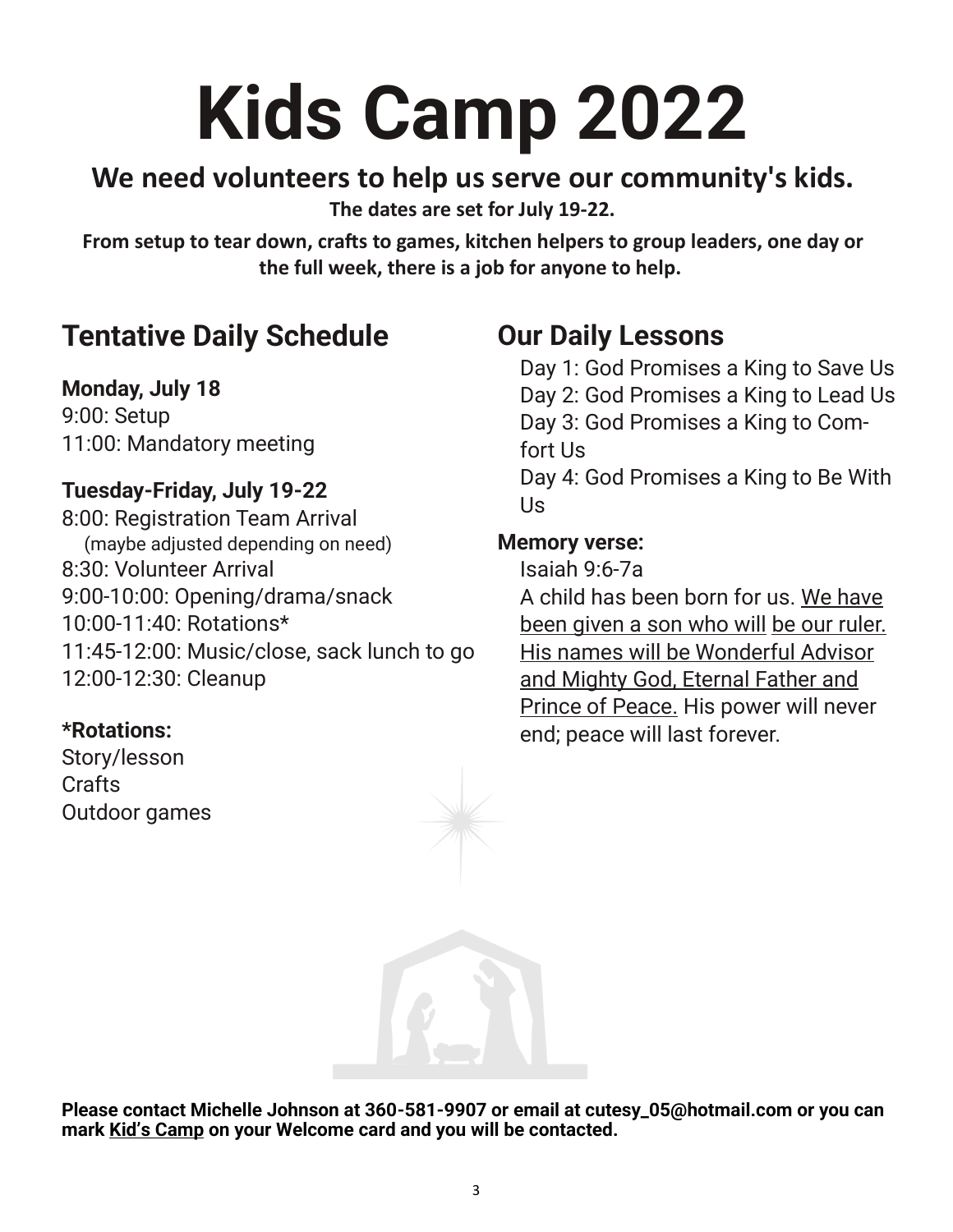# **Kids Camp 2022**

# **We need volunteers to help us serve our community's kids.**

**The dates are set for July 19-22.**

**From setup to tear down, crafts to games, kitchen helpers to group leaders, one day or the full week, there is a job for anyone to help.**

# **Tentative Daily Schedule**

**Monday, July 18** 9:00: Setup

11:00: Mandatory meeting

## **Tuesday-Friday, July 19-22**

8:00: Registration Team Arrival (maybe adjusted depending on need) 8:30: Volunteer Arrival 9:00-10:00: Opening/drama/snack 10:00-11:40: Rotations\* 11:45-12:00: Music/close, sack lunch to go 12:00-12:30: Cleanup

## **\*Rotations:**

Story/lesson **Crafts** Outdoor games

# **Our Daily Lessons**

Day 1: God Promises a King to Save Us Day 2: God Promises a King to Lead Us Day 3: God Promises a King to Comfort Us Day 4: God Promises a King to Be With Us

#### **Memory verse:**

Isaiah 9:6-7a A child has been born for us. We have been given a son who will be our ruler. His names will be Wonderful Advisor and Mighty God, Eternal Father and Prince of Peace. His power will never end; peace will last forever.

**Please contact Michelle Johnson at 360-581-9907 or email at cutesy\_05@hotmail.com or you can mark Kid's Camp on your Welcome card and you will be contacted.**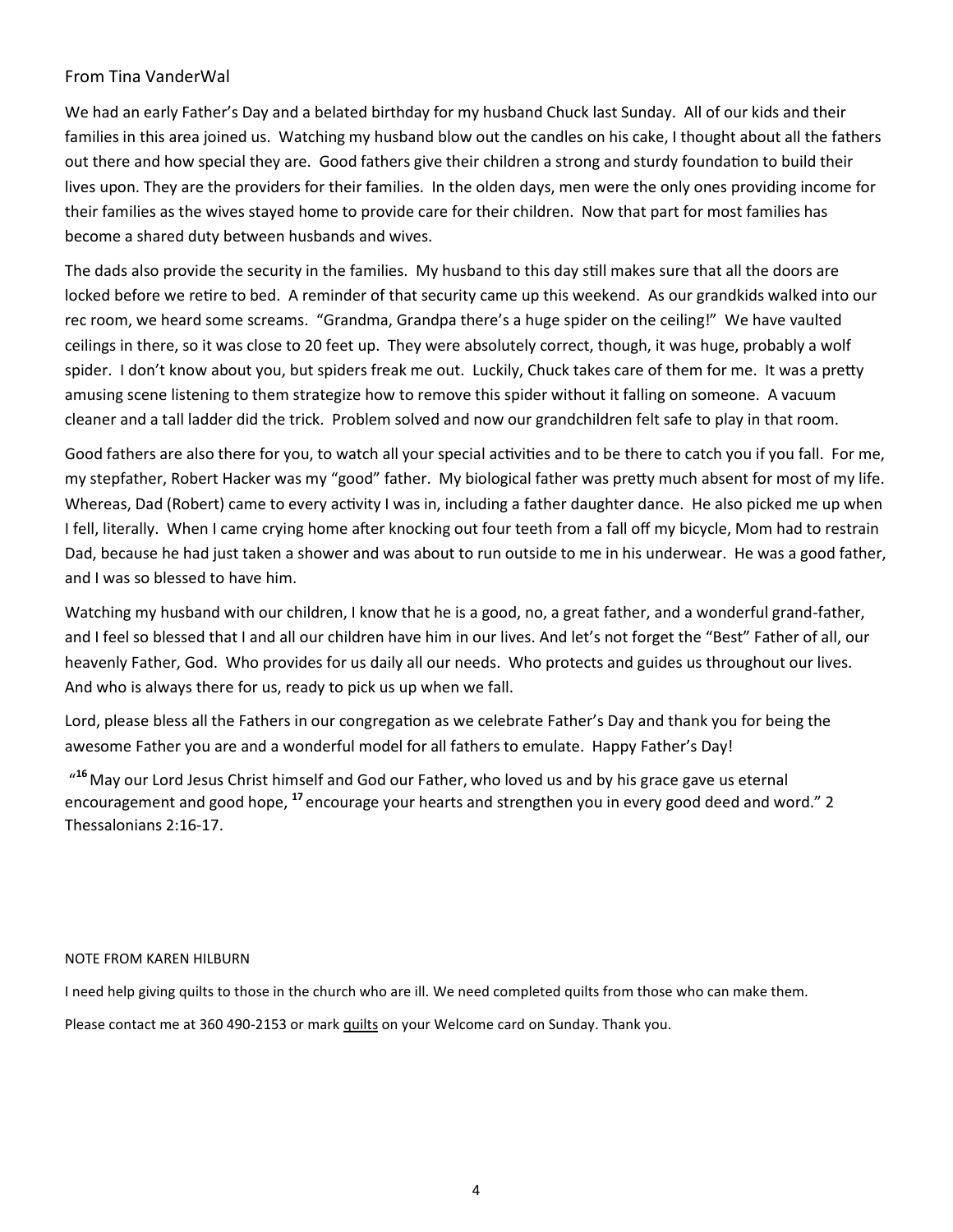#### From Tina VanderWal

We had an early Father's Day and a belated birthday for my husband Chuck last Sunday. All of our kids and their families in this area joined us. Watching my husband blow out the candles on his cake, I thought about all the fathers out there and how special they are. Good fathers give their children a strong and sturdy foundation to build their lives upon. They are the providers for their families. In the olden days, men were the only ones providing income for their families as the wives stayed home to provide care for their children. Now that part for most families has become a shared duty between husbands and wives.

The dads also provide the security in the families. My husband to this day still makes sure that all the doors are locked before we retire to bed. A reminder of that security came up this weekend. As our grandkids walked into our rec room, we heard some screams. "Grandma, Grandpa there's a huge spider on the ceiling!" We have vaulted ceilings in there, so it was close to 20 feet up. They were absolutely correct, though, it was huge, probably a wolf spider. I don't know about you, but spiders freak me out. Luckily, Chuck takes care of them for me. It was a pretty amusing scene listening to them strategize how to remove this spider without it falling on someone. A vacuum cleaner and a tall ladder did the trick. Problem solved and now our grandchildren felt safe to play in that room.

Good fathers are also there for you, to watch all your special activities and to be there to catch you if you fall. For me, my stepfather, Robert Hacker was my "good" father. My biological father was pretty much absent for most of my life. Whereas, Dad (Robert) came to every activity I was in, including a father daughter dance. He also picked me up when I fell, literally. When I came crying home after knocking out four teeth from a fall off my bicycle, Mom had to restrain Dad, because he had just taken a shower and was about to run outside to me in his underwear. He was a good father, and I was so blessed to have him.

Watching my husband with our children, I know that he is a good, no, a great father, and a wonderful grand-father, and I feel so blessed that I and all our children have him in our lives. And let's not forget the "Best" Father of all, our heavenly Father, God. Who provides for us daily all our needs. Who protects and guides us throughout our lives. And who is always there for us, ready to pick us up when we fall.

Lord, please bless all the Fathers in our congregation as we celebrate Father's Day and thank you for being the awesome Father you are and a wonderful model for all fathers to emulate. Happy Father's Day!

"<sup>16</sup> May our Lord Jesus Christ himself and God our Father, who loved us and by his grace gave us eternal encouragement and good hope, **<sup>17</sup>** encourage your hearts and strengthen you in every good deed and word." 2 Thessalonians 2:16-17.

#### NOTE FROM KAREN HILBURN

I need help giving quilts to those in the church who are ill. We need completed quilts from those who can make them.

Please contact me at 360 490-2153 or mark quilts on your Welcome card on Sunday. Thank you.